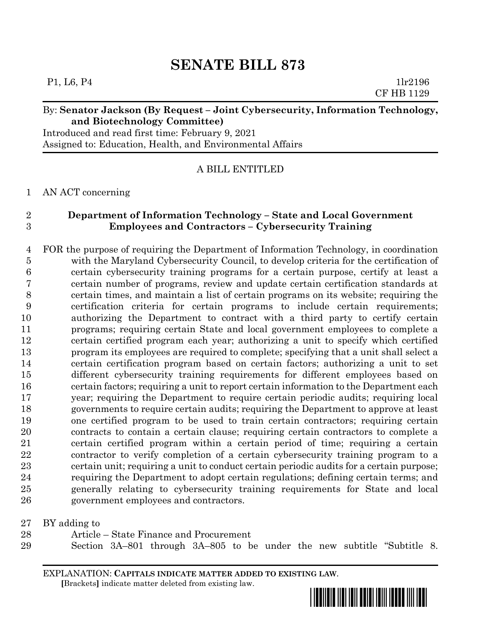# **SENATE BILL 873**

P1, L6, P4 1lr2196 CF HB 1129

### By: **Senator Jackson (By Request – Joint Cybersecurity, Information Technology, and Biotechnology Committee)**

Introduced and read first time: February 9, 2021 Assigned to: Education, Health, and Environmental Affairs

A BILL ENTITLED

#### AN ACT concerning

## **Department of Information Technology – State and Local Government Employees and Contractors – Cybersecurity Training**

 FOR the purpose of requiring the Department of Information Technology, in coordination with the Maryland Cybersecurity Council, to develop criteria for the certification of certain cybersecurity training programs for a certain purpose, certify at least a certain number of programs, review and update certain certification standards at certain times, and maintain a list of certain programs on its website; requiring the certification criteria for certain programs to include certain requirements; authorizing the Department to contract with a third party to certify certain programs; requiring certain State and local government employees to complete a certain certified program each year; authorizing a unit to specify which certified program its employees are required to complete; specifying that a unit shall select a certain certification program based on certain factors; authorizing a unit to set different cybersecurity training requirements for different employees based on certain factors; requiring a unit to report certain information to the Department each year; requiring the Department to require certain periodic audits; requiring local governments to require certain audits; requiring the Department to approve at least one certified program to be used to train certain contractors; requiring certain contracts to contain a certain clause; requiring certain contractors to complete a certain certified program within a certain period of time; requiring a certain contractor to verify completion of a certain cybersecurity training program to a certain unit; requiring a unit to conduct certain periodic audits for a certain purpose; requiring the Department to adopt certain regulations; defining certain terms; and generally relating to cybersecurity training requirements for State and local government employees and contractors.

BY adding to

- Article State Finance and Procurement
- Section 3A–801 through 3A–805 to be under the new subtitle "Subtitle 8.

EXPLANATION: **CAPITALS INDICATE MATTER ADDED TO EXISTING LAW**.  **[**Brackets**]** indicate matter deleted from existing law.

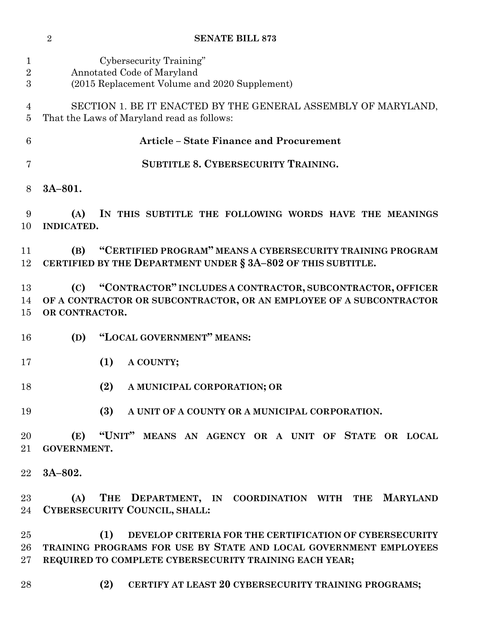|  | <b>SENATE BILL 873</b> |
|--|------------------------|
|--|------------------------|

| 1<br>$\overline{2}$         | Cybersecurity Training"                                                                                                                                                                       |
|-----------------------------|-----------------------------------------------------------------------------------------------------------------------------------------------------------------------------------------------|
| 3                           | Annotated Code of Maryland<br>(2015 Replacement Volume and 2020 Supplement)                                                                                                                   |
| 4<br>5                      | SECTION 1. BE IT ENACTED BY THE GENERAL ASSEMBLY OF MARYLAND,<br>That the Laws of Maryland read as follows:                                                                                   |
| 6                           | <b>Article - State Finance and Procurement</b>                                                                                                                                                |
| 7                           | <b>SUBTITLE 8. CYBERSECURITY TRAINING.</b>                                                                                                                                                    |
| 8                           | $3A-801.$                                                                                                                                                                                     |
| 9<br>10                     | (A)<br>IN THIS SUBTITLE THE FOLLOWING WORDS HAVE THE MEANINGS<br><b>INDICATED.</b>                                                                                                            |
| 11<br>12                    | "CERTIFIED PROGRAM" MEANS A CYBERSECURITY TRAINING PROGRAM<br>(B)<br>CERTIFIED BY THE DEPARTMENT UNDER § 3A-802 OF THIS SUBTITLE.                                                             |
| 13<br>14<br>15              | "CONTRACTOR" INCLUDES A CONTRACTOR, SUBCONTRACTOR, OFFICER<br>(C)<br>OF A CONTRACTOR OR SUBCONTRACTOR, OR AN EMPLOYEE OF A SUBCONTRACTOR<br>OR CONTRACTOR.                                    |
| 16                          | "LOCAL GOVERNMENT" MEANS:<br>(D)                                                                                                                                                              |
| 17                          | (1)<br>A COUNTY;                                                                                                                                                                              |
| 18                          | (2)<br>A MUNICIPAL CORPORATION; OR                                                                                                                                                            |
| 19                          | (3)<br>A UNIT OF A COUNTY OR A MUNICIPAL CORPORATION.                                                                                                                                         |
| 20<br>21                    | (E) "UNIT" MEANS AN AGENCY OR A UNIT OF STATE OR LOCAL<br><b>GOVERNMENT.</b>                                                                                                                  |
| 22                          | $3A-802.$                                                                                                                                                                                     |
| 23<br>24                    | THE DEPARTMENT, IN COORDINATION WITH THE MARYLAND<br>(A)<br>CYBERSECURITY COUNCIL, SHALL:                                                                                                     |
| 25<br>26<br>27 <sub>2</sub> | (1)<br>DEVELOP CRITERIA FOR THE CERTIFICATION OF CYBERSECURITY<br>TRAINING PROGRAMS FOR USE BY STATE AND LOCAL GOVERNMENT EMPLOYEES<br>REQUIRED TO COMPLETE CYBERSECURITY TRAINING EACH YEAR; |

**(2) CERTIFY AT LEAST 20 CYBERSECURITY TRAINING PROGRAMS;**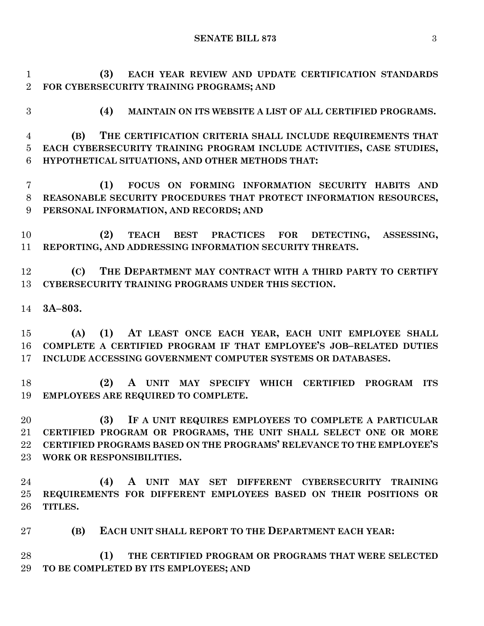**SENATE BILL 873** 3

 **(3) EACH YEAR REVIEW AND UPDATE CERTIFICATION STANDARDS FOR CYBERSECURITY TRAINING PROGRAMS; AND**

**(4) MAINTAIN ON ITS WEBSITE A LIST OF ALL CERTIFIED PROGRAMS.**

 **(B) THE CERTIFICATION CRITERIA SHALL INCLUDE REQUIREMENTS THAT EACH CYBERSECURITY TRAINING PROGRAM INCLUDE ACTIVITIES, CASE STUDIES, HYPOTHETICAL SITUATIONS, AND OTHER METHODS THAT:**

 **(1) FOCUS ON FORMING INFORMATION SECURITY HABITS AND REASONABLE SECURITY PROCEDURES THAT PROTECT INFORMATION RESOURCES, PERSONAL INFORMATION, AND RECORDS; AND**

 **(2) TEACH BEST PRACTICES FOR DETECTING, ASSESSING, REPORTING, AND ADDRESSING INFORMATION SECURITY THREATS.**

 **(C) THE DEPARTMENT MAY CONTRACT WITH A THIRD PARTY TO CERTIFY CYBERSECURITY TRAINING PROGRAMS UNDER THIS SECTION.**

**3A–803.**

 **(A) (1) AT LEAST ONCE EACH YEAR, EACH UNIT EMPLOYEE SHALL COMPLETE A CERTIFIED PROGRAM IF THAT EMPLOYEE'S JOB–RELATED DUTIES INCLUDE ACCESSING GOVERNMENT COMPUTER SYSTEMS OR DATABASES.**

 **(2) A UNIT MAY SPECIFY WHICH CERTIFIED PROGRAM ITS EMPLOYEES ARE REQUIRED TO COMPLETE.**

 **(3) IF A UNIT REQUIRES EMPLOYEES TO COMPLETE A PARTICULAR CERTIFIED PROGRAM OR PROGRAMS, THE UNIT SHALL SELECT ONE OR MORE CERTIFIED PROGRAMS BASED ON THE PROGRAMS' RELEVANCE TO THE EMPLOYEE'S WORK OR RESPONSIBILITIES.**

 **(4) A UNIT MAY SET DIFFERENT CYBERSECURITY TRAINING REQUIREMENTS FOR DIFFERENT EMPLOYEES BASED ON THEIR POSITIONS OR TITLES.**

**(B) EACH UNIT SHALL REPORT TO THE DEPARTMENT EACH YEAR:**

 **(1) THE CERTIFIED PROGRAM OR PROGRAMS THAT WERE SELECTED TO BE COMPLETED BY ITS EMPLOYEES; AND**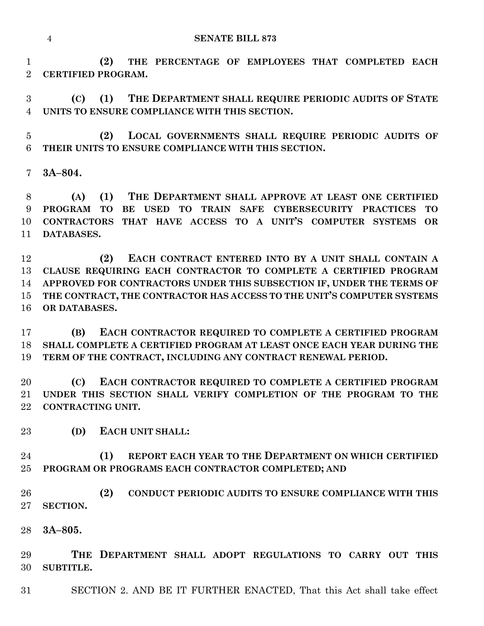**(2) THE PERCENTAGE OF EMPLOYEES THAT COMPLETED EACH CERTIFIED PROGRAM.**

 **(C) (1) THE DEPARTMENT SHALL REQUIRE PERIODIC AUDITS OF STATE UNITS TO ENSURE COMPLIANCE WITH THIS SECTION.**

 **(2) LOCAL GOVERNMENTS SHALL REQUIRE PERIODIC AUDITS OF THEIR UNITS TO ENSURE COMPLIANCE WITH THIS SECTION.**

**3A–804.**

 **(A) (1) THE DEPARTMENT SHALL APPROVE AT LEAST ONE CERTIFIED PROGRAM TO BE USED TO TRAIN SAFE CYBERSECURITY PRACTICES TO CONTRACTORS THAT HAVE ACCESS TO A UNIT'S COMPUTER SYSTEMS OR DATABASES.**

 **(2) EACH CONTRACT ENTERED INTO BY A UNIT SHALL CONTAIN A CLAUSE REQUIRING EACH CONTRACTOR TO COMPLETE A CERTIFIED PROGRAM APPROVED FOR CONTRACTORS UNDER THIS SUBSECTION IF, UNDER THE TERMS OF THE CONTRACT, THE CONTRACTOR HAS ACCESS TO THE UNIT'S COMPUTER SYSTEMS OR DATABASES.**

 **(B) EACH CONTRACTOR REQUIRED TO COMPLETE A CERTIFIED PROGRAM SHALL COMPLETE A CERTIFIED PROGRAM AT LEAST ONCE EACH YEAR DURING THE TERM OF THE CONTRACT, INCLUDING ANY CONTRACT RENEWAL PERIOD.**

 **(C) EACH CONTRACTOR REQUIRED TO COMPLETE A CERTIFIED PROGRAM UNDER THIS SECTION SHALL VERIFY COMPLETION OF THE PROGRAM TO THE CONTRACTING UNIT.**

**(D) EACH UNIT SHALL:**

 **(1) REPORT EACH YEAR TO THE DEPARTMENT ON WHICH CERTIFIED PROGRAM OR PROGRAMS EACH CONTRACTOR COMPLETED; AND**

 **(2) CONDUCT PERIODIC AUDITS TO ENSURE COMPLIANCE WITH THIS SECTION.**

**3A–805.**

 **THE DEPARTMENT SHALL ADOPT REGULATIONS TO CARRY OUT THIS SUBTITLE.**

SECTION 2. AND BE IT FURTHER ENACTED, That this Act shall take effect